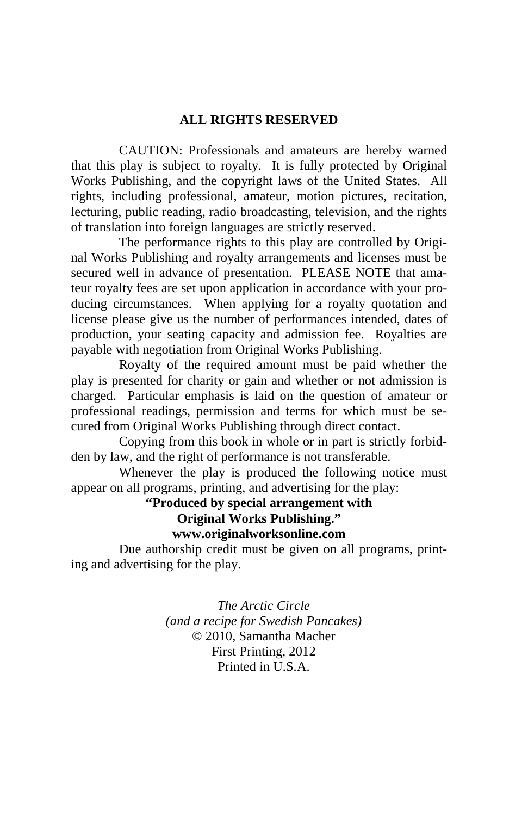# **ALL RIGHTS RESERVED**

 CAUTION: Professionals and amateurs are hereby warned that this play is subject to royalty. It is fully protected by Original Works Publishing, and the copyright laws of the United States. All rights, including professional, amateur, motion pictures, recitation, lecturing, public reading, radio broadcasting, television, and the rights of translation into foreign languages are strictly reserved.

 The performance rights to this play are controlled by Original Works Publishing and royalty arrangements and licenses must be secured well in advance of presentation. PLEASE NOTE that amateur royalty fees are set upon application in accordance with your producing circumstances. When applying for a royalty quotation and license please give us the number of performances intended, dates of production, your seating capacity and admission fee. Royalties are payable with negotiation from Original Works Publishing.

 Royalty of the required amount must be paid whether the play is presented for charity or gain and whether or not admission is charged. Particular emphasis is laid on the question of amateur or professional readings, permission and terms for which must be secured from Original Works Publishing through direct contact.

 Copying from this book in whole or in part is strictly forbidden by law, and the right of performance is not transferable.

 Whenever the play is produced the following notice must appear on all programs, printing, and advertising for the play:

# **"Produced by special arrangement with Original Works Publishing." www.originalworksonline.com**

 Due authorship credit must be given on all programs, printing and advertising for the play.

> *The Arctic Circle (and a recipe for Swedish Pancakes)*  © 2010, Samantha Macher First Printing, 2012 Printed in U.S.A.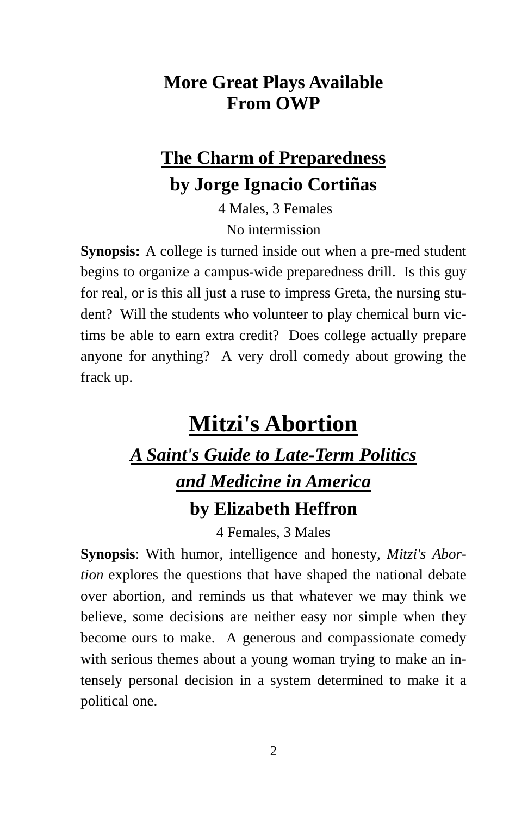# **More Great Plays Available From OWP**

# **The Charm of Preparedness by Jorge Ignacio Cortiñas**

 4 Males, 3 Females No intermission

**Synopsis:** A college is turned inside out when a pre-med student begins to organize a campus-wide preparedness drill. Is this guy for real, or is this all just a ruse to impress Greta, the nursing student? Will the students who volunteer to play chemical burn victims be able to earn extra credit? Does college actually prepare anyone for anything? A very droll comedy about growing the frack up.

# **Mitzi's Abortion** *A Saint's Guide to Late-Term Politics and Medicine in America* **by Elizabeth Heffron**

4 Females, 3 Males

**Synopsis**: With humor, intelligence and honesty, *Mitzi's Abortion* explores the questions that have shaped the national debate over abortion, and reminds us that whatever we may think we believe, some decisions are neither easy nor simple when they become ours to make. A generous and compassionate comedy with serious themes about a young woman trying to make an intensely personal decision in a system determined to make it a political one.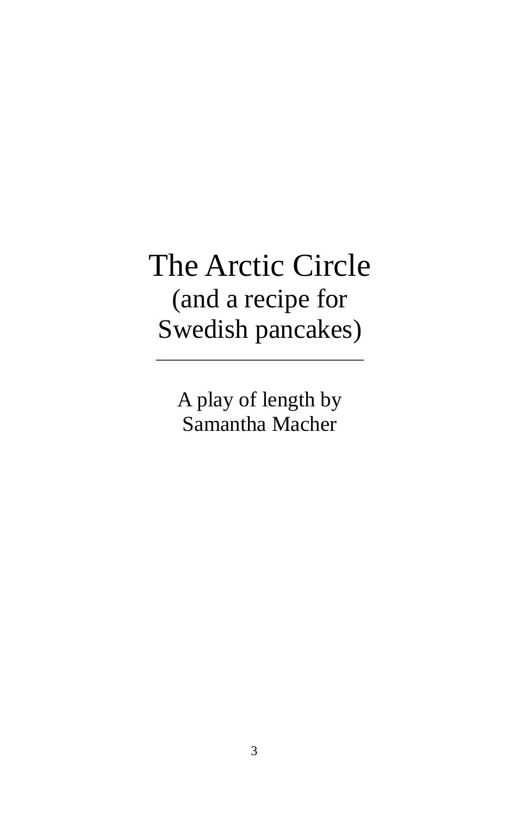# The Arctic Circle (and a recipe for Swedish pancakes)

\_\_\_\_\_\_\_\_\_\_\_\_\_\_\_\_\_\_\_\_\_\_\_\_\_\_

A play of length by Samantha Macher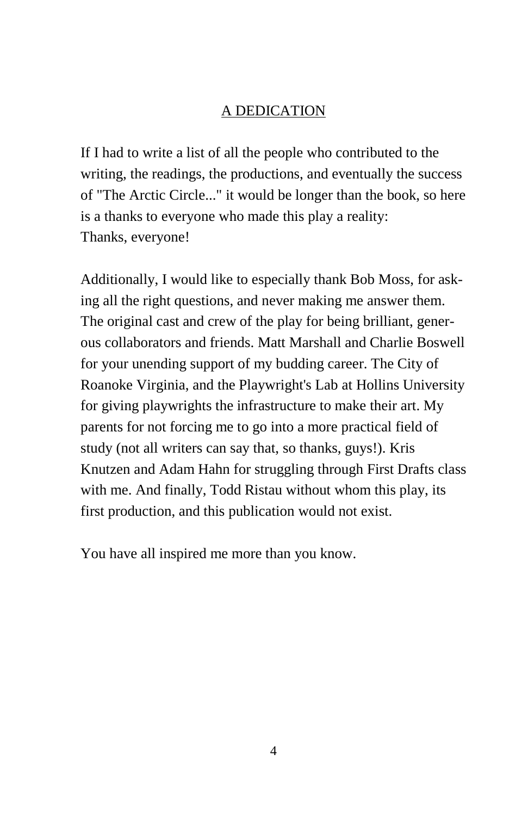# A DEDICATION

If I had to write a list of all the people who contributed to the writing, the readings, the productions, and eventually the success of "The Arctic Circle..." it would be longer than the book, so here is a thanks to everyone who made this play a reality: Thanks, everyone!

Additionally, I would like to especially thank Bob Moss, for asking all the right questions, and never making me answer them. The original cast and crew of the play for being brilliant, generous collaborators and friends. Matt Marshall and Charlie Boswell for your unending support of my budding career. The City of Roanoke Virginia, and the Playwright's Lab at Hollins University for giving playwrights the infrastructure to make their art. My parents for not forcing me to go into a more practical field of study (not all writers can say that, so thanks, guys!). Kris Knutzen and Adam Hahn for struggling through First Drafts class with me. And finally, Todd Ristau without whom this play, its first production, and this publication would not exist.

You have all inspired me more than you know.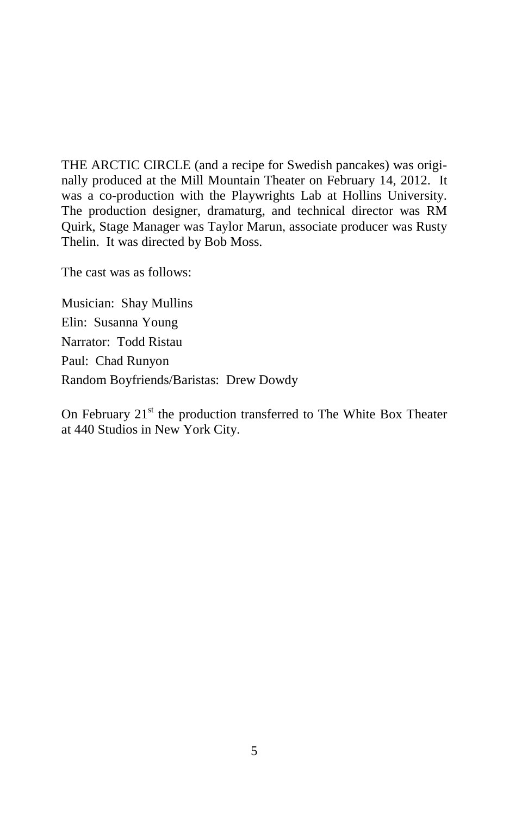THE ARCTIC CIRCLE (and a recipe for Swedish pancakes) was originally produced at the Mill Mountain Theater on February 14, 2012. It was a co-production with the Playwrights Lab at Hollins University. The production designer, dramaturg, and technical director was RM Quirk, Stage Manager was Taylor Marun, associate producer was Rusty Thelin. It was directed by Bob Moss.

The cast was as follows:

Musician: Shay Mullins Elin: Susanna Young Narrator: Todd Ristau Paul: Chad Runyon Random Boyfriends/Baristas: Drew Dowdy

On February  $21<sup>st</sup>$  the production transferred to The White Box Theater at 440 Studios in New York City.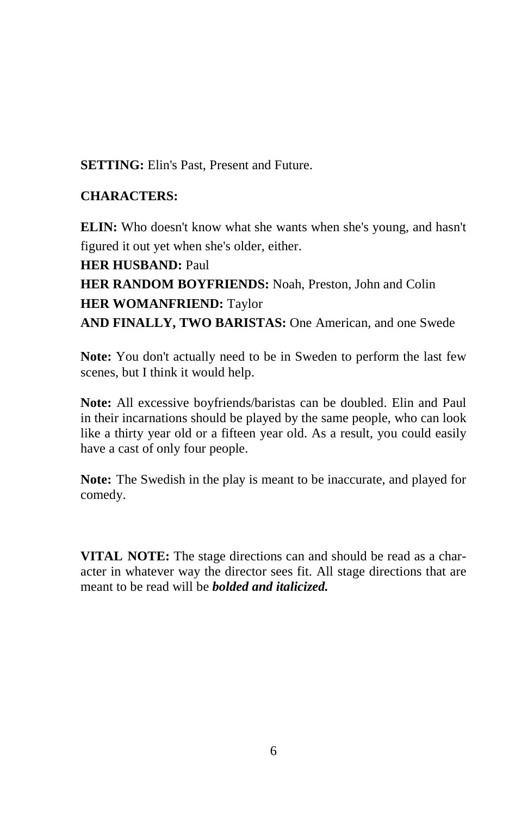**SETTING:** Elin's Past, Present and Future.

# **CHARACTERS:**

**ELIN:** Who doesn't know what she wants when she's young, and hasn't figured it out yet when she's older, either.

**HER HUSBAND:** Paul **HER RANDOM BOYFRIENDS:** Noah, Preston, John and Colin **HER WOMANFRIEND:** Taylor **AND FINALLY, TWO BARISTAS:** One American, and one Swede

**Note:** You don't actually need to be in Sweden to perform the last few scenes, but I think it would help.

**Note:** All excessive boyfriends/baristas can be doubled. Elin and Paul in their incarnations should be played by the same people, who can look like a thirty year old or a fifteen year old. As a result, you could easily have a cast of only four people.

**Note:** The Swedish in the play is meant to be inaccurate, and played for comedy.

**VITAL NOTE:** The stage directions can and should be read as a character in whatever way the director sees fit. All stage directions that are meant to be read will be *bolded and italicized.*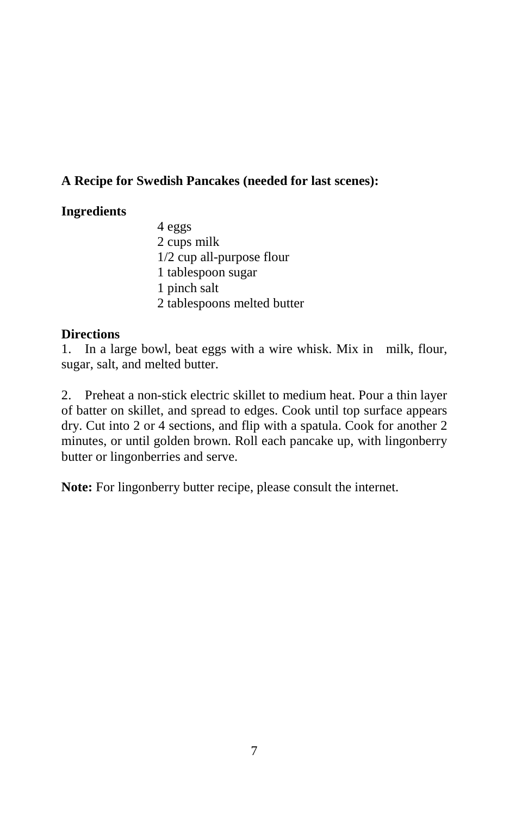# **A Recipe for Swedish Pancakes (needed for last scenes):**

# **Ingredients**

 4 eggs 2 cups milk 1/2 cup all-purpose flour 1 tablespoon sugar 1 pinch salt 2 tablespoons melted butter

# **Directions**

1. In a large bowl, beat eggs with a wire whisk. Mix in milk, flour, sugar, salt, and melted butter.

2. Preheat a non-stick electric skillet to medium heat. Pour a thin layer of batter on skillet, and spread to edges. Cook until top surface appears dry. Cut into 2 or 4 sections, and flip with a spatula. Cook for another 2 minutes, or until golden brown. Roll each pancake up, with lingonberry butter or lingonberries and serve.

**Note:** For lingonberry butter recipe, please consult the internet.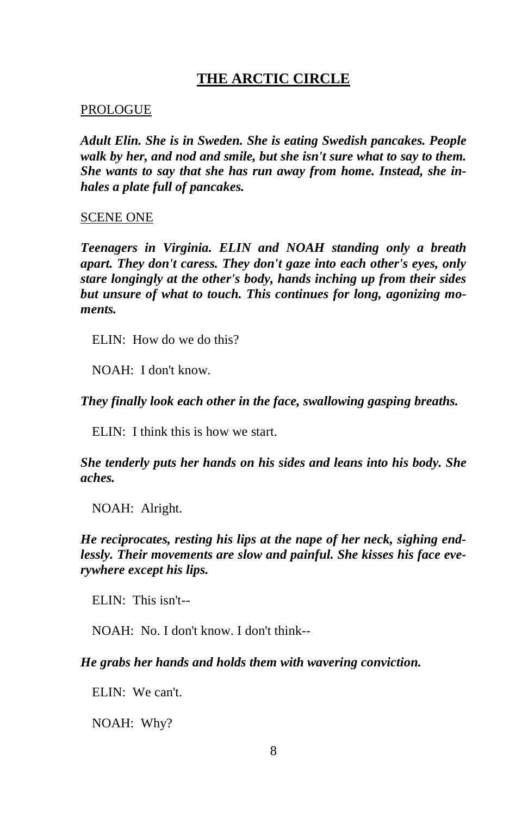# **THE ARCTIC CIRCLE**

#### PROLOGUE

*Adult Elin. She is in Sweden. She is eating Swedish pancakes. People walk by her, and nod and smile, but she isn't sure what to say to them. She wants to say that she has run away from home. Instead, she inhales a plate full of pancakes.* 

#### SCENE ONE

*Teenagers in Virginia. ELIN and NOAH standing only a breath apart. They don't caress. They don't gaze into each other's eyes, only stare longingly at the other's body, hands inching up from their sides but unsure of what to touch. This continues for long, agonizing moments.* 

ELIN: How do we do this?

NOAH: I don't know.

*They finally look each other in the face, swallowing gasping breaths.* 

ELIN: I think this is how we start.

*She tenderly puts her hands on his sides and leans into his body. She aches.* 

NOAH: Alright.

# *He reciprocates, resting his lips at the nape of her neck, sighing endlessly. Their movements are slow and painful. She kisses his face everywhere except his lips.*

ELIN: This isn't--

NOAH: No. I don't know. I don't think--

*He grabs her hands and holds them with wavering conviction.* 

ELIN: We can't.

NOAH: Why?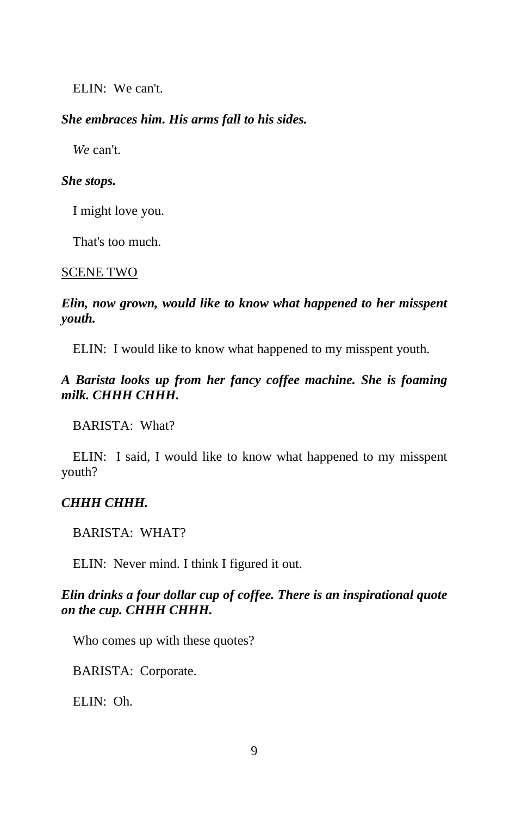ELIN: We can't.

#### *She embraces him. His arms fall to his sides.*

*We* can't.

#### *She stops.*

I might love you.

That's too much.

#### SCENE TWO

## *Elin, now grown, would like to know what happened to her misspent youth.*

ELIN: I would like to know what happened to my misspent youth.

# *A Barista looks up from her fancy coffee machine. She is foaming milk. CHHH CHHH.*

BARISTA: What?

ELIN: I said, I would like to know what happened to my misspent youth?

#### *CHHH CHHH.*

BARISTA: WHAT?

ELIN: Never mind. I think I figured it out.

# *Elin drinks a four dollar cup of coffee. There is an inspirational quote on the cup. CHHH CHHH.*

Who comes up with these quotes?

BARISTA: Corporate.

ELIN: Oh.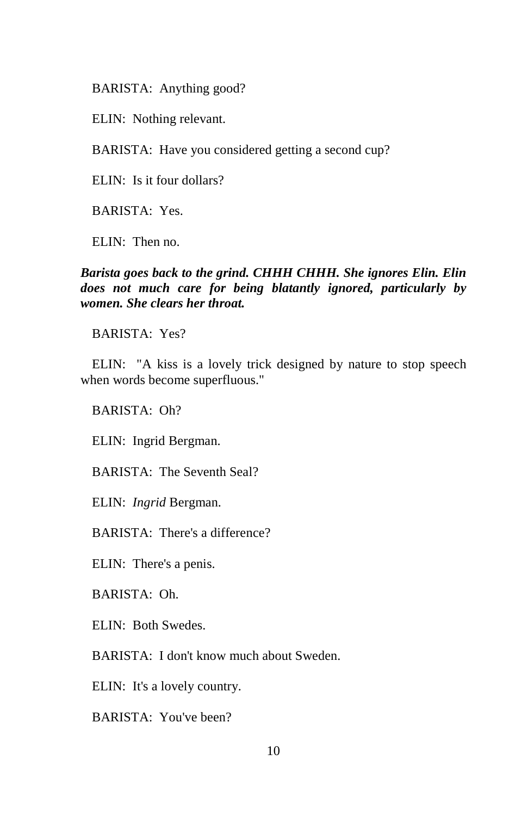BARISTA: Anything good?

ELIN: Nothing relevant.

BARISTA: Have you considered getting a second cup?

ELIN: Is it four dollars?

BARISTA: Yes.

ELIN: Then no.

# *Barista goes back to the grind. CHHH CHHH. She ignores Elin. Elin does not much care for being blatantly ignored, particularly by women. She clears her throat.*

BARISTA: Yes?

ELIN: "A kiss is a lovely trick designed by nature to stop speech when words become superfluous."

BARISTA: Oh?

ELIN: Ingrid Bergman.

BARISTA: The Seventh Seal?

ELIN: *Ingrid* Bergman.

BARISTA: There's a difference?

ELIN: There's a penis.

BARISTA: Oh.

ELIN: Both Swedes.

BARISTA: I don't know much about Sweden.

ELIN: It's a lovely country.

BARISTA: You've been?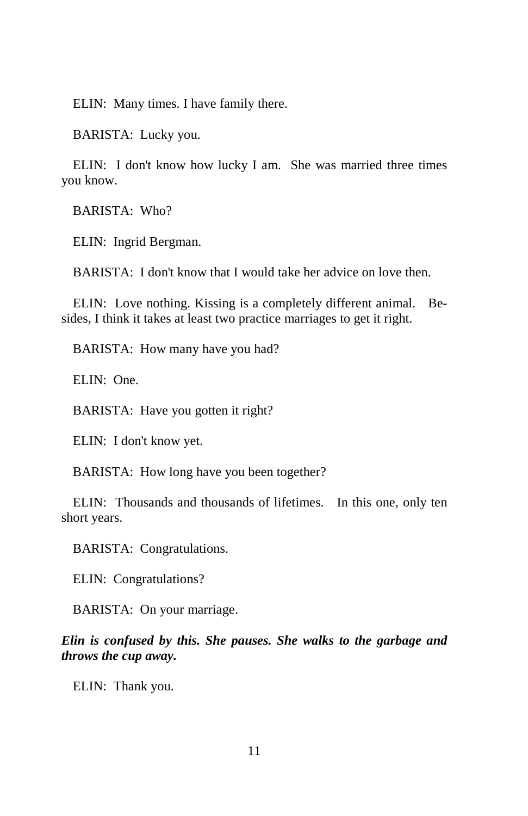ELIN: Many times. I have family there.

BARISTA: Lucky you.

ELIN: I don't know how lucky I am. She was married three times you know.

BARISTA: Who?

ELIN: Ingrid Bergman.

BARISTA: I don't know that I would take her advice on love then.

ELIN: Love nothing. Kissing is a completely different animal. Besides, I think it takes at least two practice marriages to get it right.

BARISTA: How many have you had?

ELIN: One.

BARISTA: Have you gotten it right?

ELIN: I don't know yet.

BARISTA: How long have you been together?

ELIN: Thousands and thousands of lifetimes. In this one, only ten short years.

BARISTA: Congratulations.

ELIN: Congratulations?

BARISTA: On your marriage.

*Elin is confused by this. She pauses. She walks to the garbage and throws the cup away.* 

ELIN: Thank you.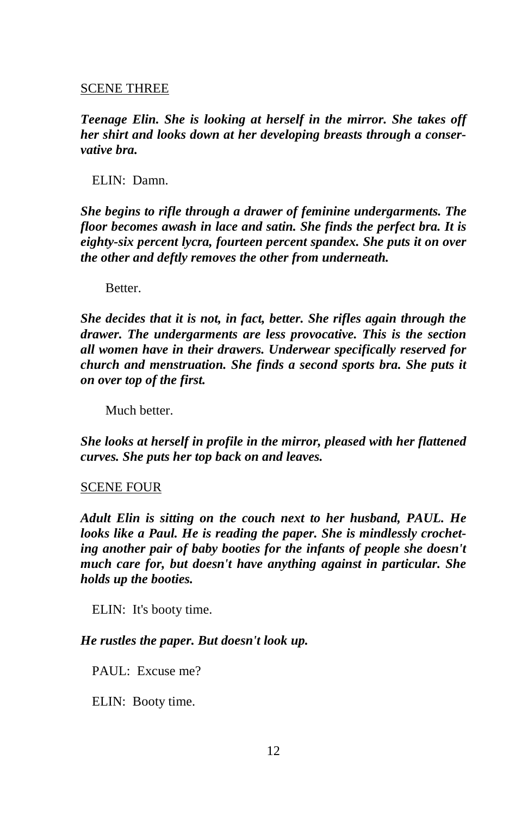#### SCENE THREE

*Teenage Elin. She is looking at herself in the mirror. She takes off her shirt and looks down at her developing breasts through a conservative bra.* 

ELIN: Damn.

*She begins to rifle through a drawer of feminine undergarments. The floor becomes awash in lace and satin. She finds the perfect bra. It is eighty-six percent lycra, fourteen percent spandex. She puts it on over the other and deftly removes the other from underneath.* 

Better.

*She decides that it is not, in fact, better. She rifles again through the drawer. The undergarments are less provocative. This is the section all women have in their drawers. Underwear specifically reserved for church and menstruation. She finds a second sports bra. She puts it on over top of the first.* 

Much better.

*She looks at herself in profile in the mirror, pleased with her flattened curves. She puts her top back on and leaves.* 

#### SCENE FOUR

*Adult Elin is sitting on the couch next to her husband, PAUL. He looks like a Paul. He is reading the paper. She is mindlessly crocheting another pair of baby booties for the infants of people she doesn't much care for, but doesn't have anything against in particular. She holds up the booties.* 

ELIN: It's booty time.

*He rustles the paper. But doesn't look up.* 

PAUL: Excuse me?

ELIN: Booty time.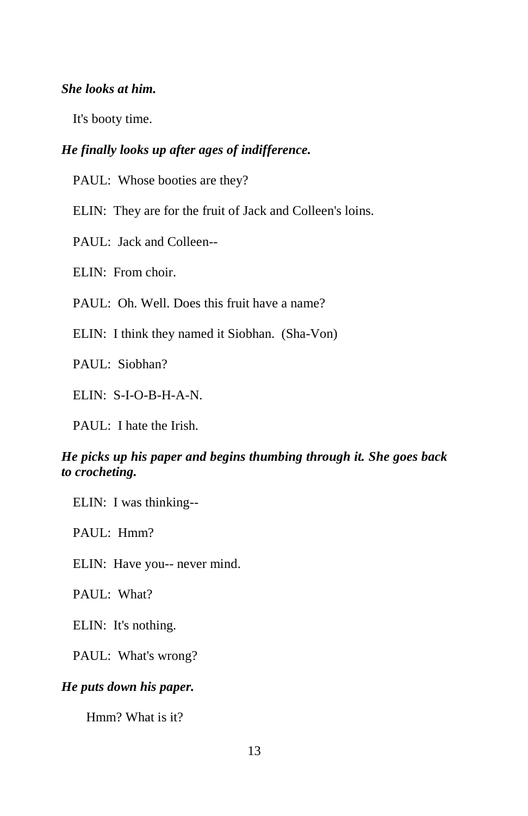# *She looks at him.*

It's booty time.

# *He finally looks up after ages of indifference.*

PAUL: Whose booties are they?

ELIN: They are for the fruit of Jack and Colleen's loins.

PAUL: Jack and Colleen--

ELIN: From choir.

PAUL: Oh. Well. Does this fruit have a name?

ELIN: I think they named it Siobhan. (Sha-Von)

PAUL: Siobhan?

ELIN: S-I-O-B-H-A-N.

PAUL: I hate the Irish.

# *He picks up his paper and begins thumbing through it. She goes back to crocheting.*

ELIN: I was thinking--

PAUL: Hmm?

ELIN: Have you-- never mind.

PAUL: What?

ELIN: It's nothing.

PAUL: What's wrong?

# *He puts down his paper.*

Hmm? What is it?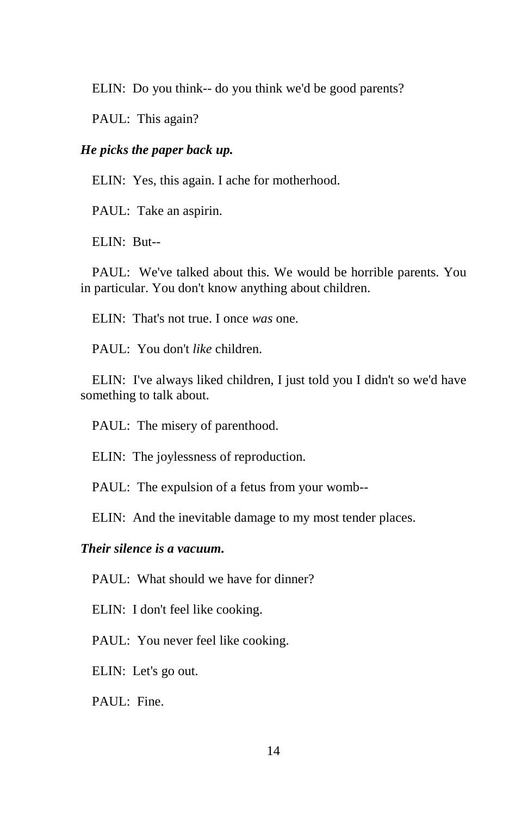ELIN: Do you think-- do you think we'd be good parents?

PAUL: This again?

# *He picks the paper back up.*

ELIN: Yes, this again. I ache for motherhood.

PAUL: Take an aspirin.

ELIN: But--

PAUL: We've talked about this. We would be horrible parents. You in particular. You don't know anything about children.

ELIN: That's not true. I once *was* one.

PAUL: You don't *like* children.

ELIN: I've always liked children, I just told you I didn't so we'd have something to talk about.

PAUL: The misery of parenthood.

ELIN: The joylessness of reproduction.

PAUL: The expulsion of a fetus from your womb--

ELIN: And the inevitable damage to my most tender places.

# *Their silence is a vacuum.*

PAUL: What should we have for dinner?

ELIN: I don't feel like cooking.

PAUL: You never feel like cooking.

ELIN: Let's go out.

PAUL: Fine.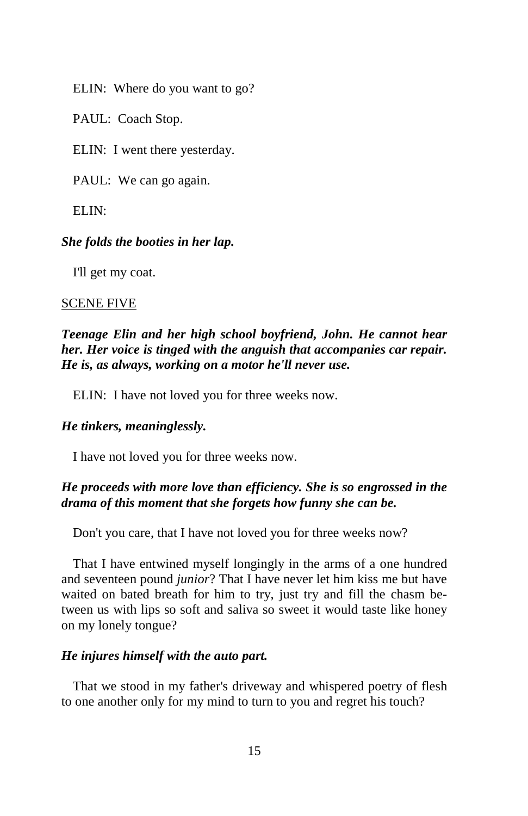ELIN: Where do you want to go?

PAUL: Coach Stop.

ELIN: I went there yesterday.

PAUL: We can go again.

 $ELM$ 

#### *She folds the booties in her lap.*

I'll get my coat.

#### SCENE FIVE

# *Teenage Elin and her high school boyfriend, John. He cannot hear her. Her voice is tinged with the anguish that accompanies car repair. He is, as always, working on a motor he'll never use.*

ELIN: I have not loved you for three weeks now.

#### *He tinkers, meaninglessly.*

I have not loved you for three weeks now.

# *He proceeds with more love than efficiency. She is so engrossed in the drama of this moment that she forgets how funny she can be.*

Don't you care, that I have not loved you for three weeks now?

That I have entwined myself longingly in the arms of a one hundred and seventeen pound *junior*? That I have never let him kiss me but have waited on bated breath for him to try, just try and fill the chasm between us with lips so soft and saliva so sweet it would taste like honey on my lonely tongue?

#### *He injures himself with the auto part.*

That we stood in my father's driveway and whispered poetry of flesh to one another only for my mind to turn to you and regret his touch?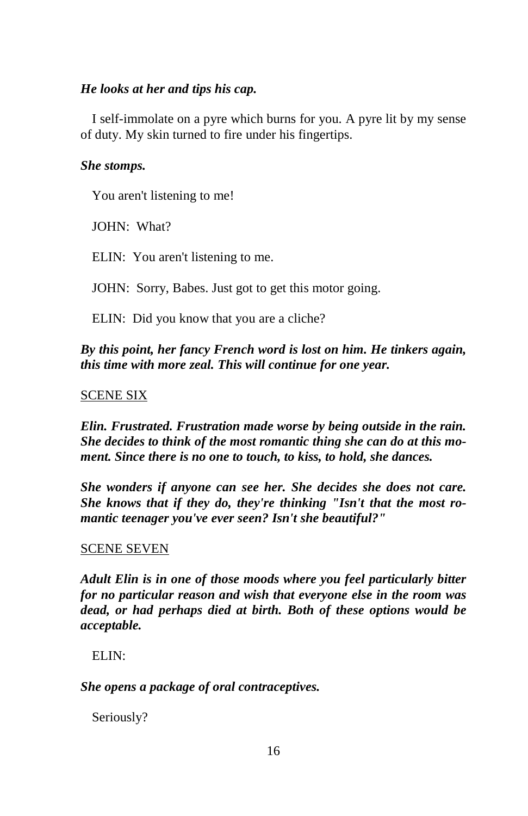# *He looks at her and tips his cap.*

I self-immolate on a pyre which burns for you. A pyre lit by my sense of duty. My skin turned to fire under his fingertips.

# *She stomps.*

You aren't listening to me!

JOHN: What?

ELIN: You aren't listening to me.

JOHN: Sorry, Babes. Just got to get this motor going.

ELIN: Did you know that you are a cliche?

*By this point, her fancy French word is lost on him. He tinkers again, this time with more zeal. This will continue for one year.* 

# SCENE SIX

*Elin. Frustrated. Frustration made worse by being outside in the rain. She decides to think of the most romantic thing she can do at this moment. Since there is no one to touch, to kiss, to hold, she dances.* 

*She wonders if anyone can see her. She decides she does not care. She knows that if they do, they're thinking "Isn't that the most romantic teenager you've ever seen? Isn't she beautiful?"* 

# SCENE SEVEN

*Adult Elin is in one of those moods where you feel particularly bitter for no particular reason and wish that everyone else in the room was dead, or had perhaps died at birth. Both of these options would be acceptable.* 

ELIN:

*She opens a package of oral contraceptives.* 

Seriously?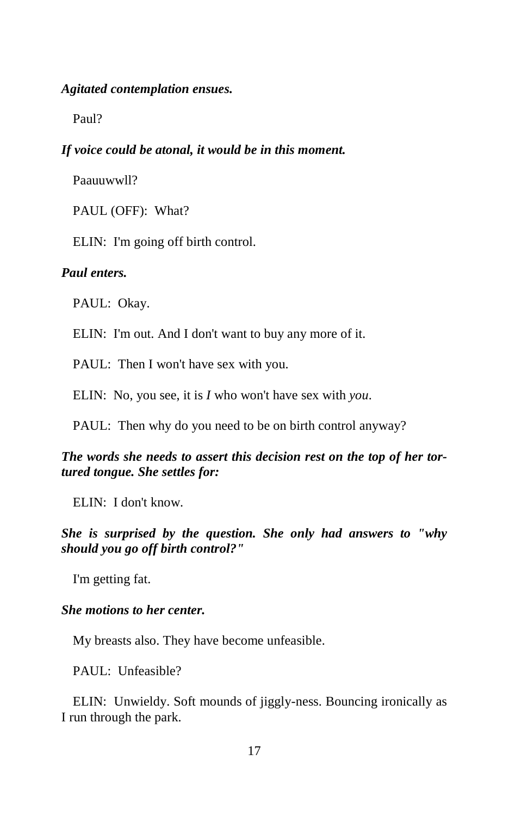#### *Agitated contemplation ensues.*

Paul?

#### *If voice could be atonal, it would be in this moment.*

Paauuwwll?

PAUL (OFF): What?

ELIN: I'm going off birth control.

# *Paul enters.*

PAUL: Okay.

ELIN: I'm out. And I don't want to buy any more of it.

PAUL: Then I won't have sex with you.

ELIN: No, you see, it is *I* who won't have sex with *you*.

PAUL: Then why do you need to be on birth control anyway?

# *The words she needs to assert this decision rest on the top of her tortured tongue. She settles for:*

ELIN: I don't know.

# *She is surprised by the question. She only had answers to "why should you go off birth control?"*

I'm getting fat.

#### *She motions to her center.*

My breasts also. They have become unfeasible.

PAUL: Unfeasible?

ELIN: Unwieldy. Soft mounds of jiggly-ness. Bouncing ironically as I run through the park.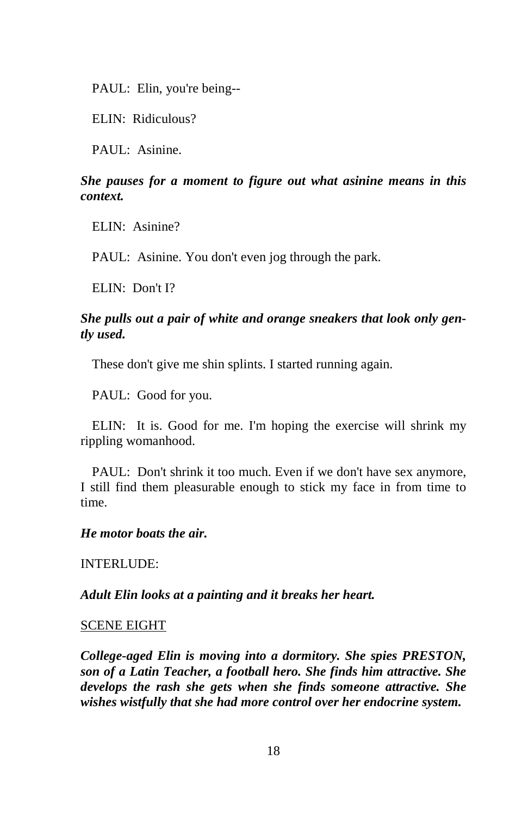PAUL: Elin, you're being--

ELIN: Ridiculous?

PAUL: Asinine.

# *She pauses for a moment to figure out what asinine means in this context.*

ELIN: Asinine?

PAUL: Asinine. You don't even jog through the park.

ELIN: Don't I?

# *She pulls out a pair of white and orange sneakers that look only gently used.*

These don't give me shin splints. I started running again.

PAUL: Good for you.

ELIN: It is. Good for me. I'm hoping the exercise will shrink my rippling womanhood.

PAUL: Don't shrink it too much. Even if we don't have sex anymore, I still find them pleasurable enough to stick my face in from time to time.

#### *He motor boats the air.*

INTERLUDE:

*Adult Elin looks at a painting and it breaks her heart.* 

#### SCENE EIGHT

*College-aged Elin is moving into a dormitory. She spies PRESTON, son of a Latin Teacher, a football hero. She finds him attractive. She develops the rash she gets when she finds someone attractive. She wishes wistfully that she had more control over her endocrine system.*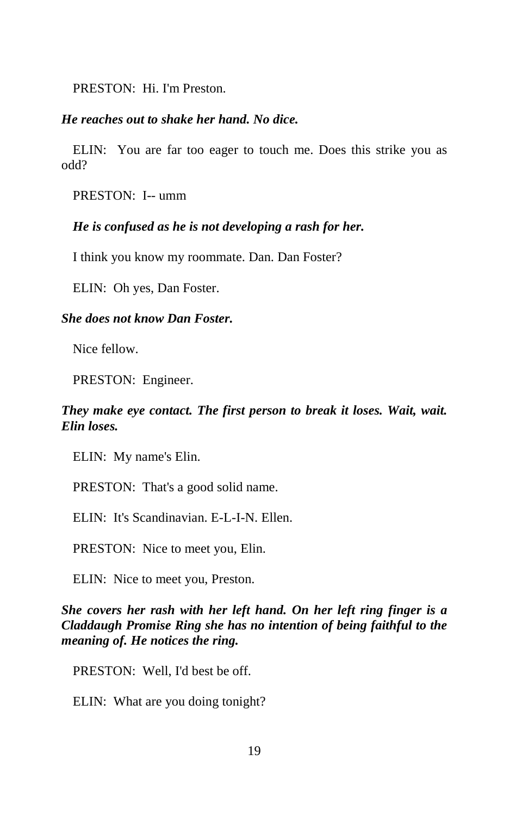PRESTON: Hi. I'm Preston.

#### *He reaches out to shake her hand. No dice.*

ELIN: You are far too eager to touch me. Does this strike you as odd?

PRESTON: I-- umm

#### *He is confused as he is not developing a rash for her.*

I think you know my roommate. Dan. Dan Foster?

ELIN: Oh yes, Dan Foster.

### *She does not know Dan Foster.*

Nice fellow.

PRESTON: Engineer.

# *They make eye contact. The first person to break it loses. Wait, wait. Elin loses.*

ELIN: My name's Elin.

PRESTON: That's a good solid name.

ELIN: It's Scandinavian. E-L-I-N. Ellen.

PRESTON: Nice to meet you, Elin.

ELIN: Nice to meet you, Preston.

*She covers her rash with her left hand. On her left ring finger is a Claddaugh Promise Ring she has no intention of being faithful to the meaning of. He notices the ring.* 

PRESTON: Well, I'd best be off.

ELIN: What are you doing tonight?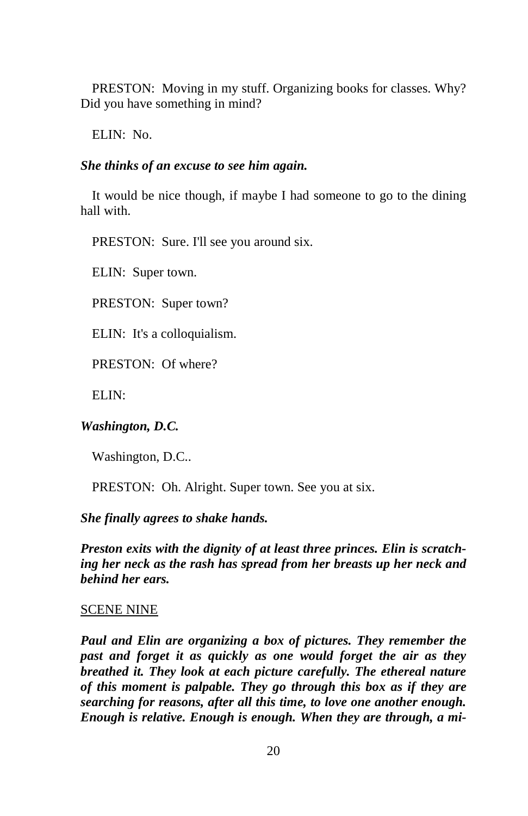PRESTON: Moving in my stuff. Organizing books for classes. Why? Did you have something in mind?

ELIN: No.

# *She thinks of an excuse to see him again.*

It would be nice though, if maybe I had someone to go to the dining hall with.

PRESTON: Sure. I'll see you around six.

ELIN: Super town.

PRESTON: Super town?

ELIN: It's a colloquialism.

PRESTON: Of where?

ELIN:

# *Washington, D.C.*

Washington, D.C..

PRESTON: Oh. Alright. Super town. See you at six.

# *She finally agrees to shake hands.*

*Preston exits with the dignity of at least three princes. Elin is scratching her neck as the rash has spread from her breasts up her neck and behind her ears.* 

# SCENE NINE

*Paul and Elin are organizing a box of pictures. They remember the past and forget it as quickly as one would forget the air as they breathed it. They look at each picture carefully. The ethereal nature of this moment is palpable. They go through this box as if they are searching for reasons, after all this time, to love one another enough. Enough is relative. Enough is enough. When they are through, a mi-*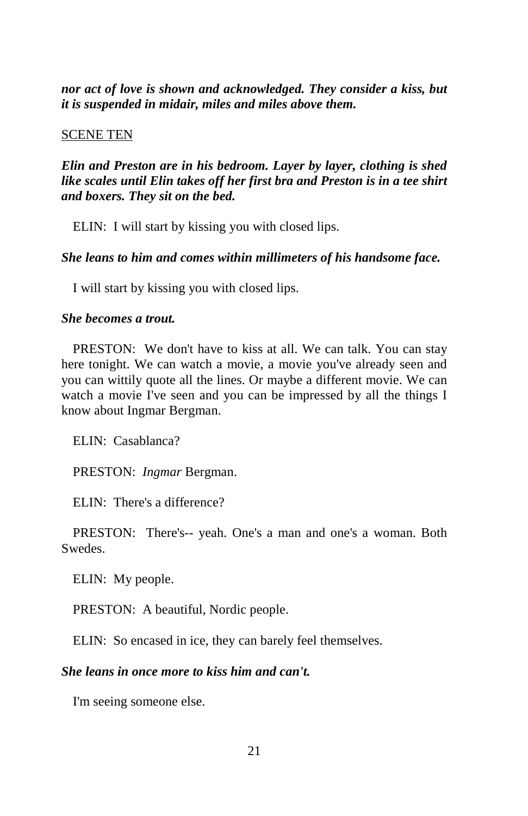*nor act of love is shown and acknowledged. They consider a kiss, but it is suspended in midair, miles and miles above them.* 

#### SCENE TEN

*Elin and Preston are in his bedroom. Layer by layer, clothing is shed like scales until Elin takes off her first bra and Preston is in a tee shirt and boxers. They sit on the bed.* 

ELIN: I will start by kissing you with closed lips.

*She leans to him and comes within millimeters of his handsome face.* 

I will start by kissing you with closed lips.

#### *She becomes a trout.*

PRESTON: We don't have to kiss at all. We can talk. You can stay here tonight. We can watch a movie, a movie you've already seen and you can wittily quote all the lines. Or maybe a different movie. We can watch a movie I've seen and you can be impressed by all the things I know about Ingmar Bergman.

ELIN: Casablanca?

PRESTON: *Ingmar* Bergman.

ELIN: There's a difference?

PRESTON: There's-- yeah. One's a man and one's a woman. Both Swedes.

ELIN: My people.

PRESTON: A beautiful, Nordic people.

ELIN: So encased in ice, they can barely feel themselves.

#### *She leans in once more to kiss him and can't.*

I'm seeing someone else.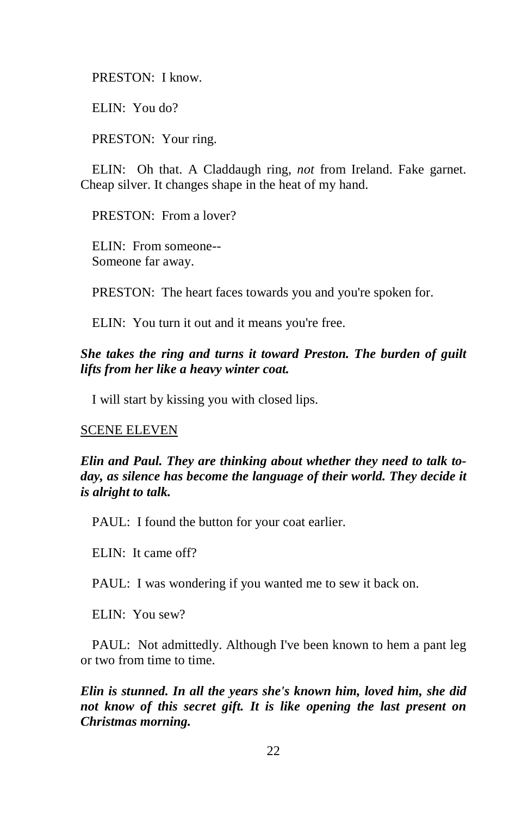PRESTON: I know.

ELIN: You do?

PRESTON: Your ring.

ELIN: Oh that. A Claddaugh ring, *not* from Ireland. Fake garnet. Cheap silver. It changes shape in the heat of my hand.

PRESTON: From a lover?

ELIN: From someone-- Someone far away.

PRESTON: The heart faces towards you and you're spoken for.

ELIN: You turn it out and it means you're free.

*She takes the ring and turns it toward Preston. The burden of guilt lifts from her like a heavy winter coat.* 

I will start by kissing you with closed lips.

#### SCENE ELEVEN

*Elin and Paul. They are thinking about whether they need to talk today, as silence has become the language of their world. They decide it is alright to talk.* 

PAUL: I found the button for your coat earlier.

ELIN: It came off?

PAUL: I was wondering if you wanted me to sew it back on.

ELIN: You sew?

PAUL: Not admittedly. Although I've been known to hem a pant leg or two from time to time.

*Elin is stunned. In all the years she's known him, loved him, she did not know of this secret gift. It is like opening the last present on Christmas morning.*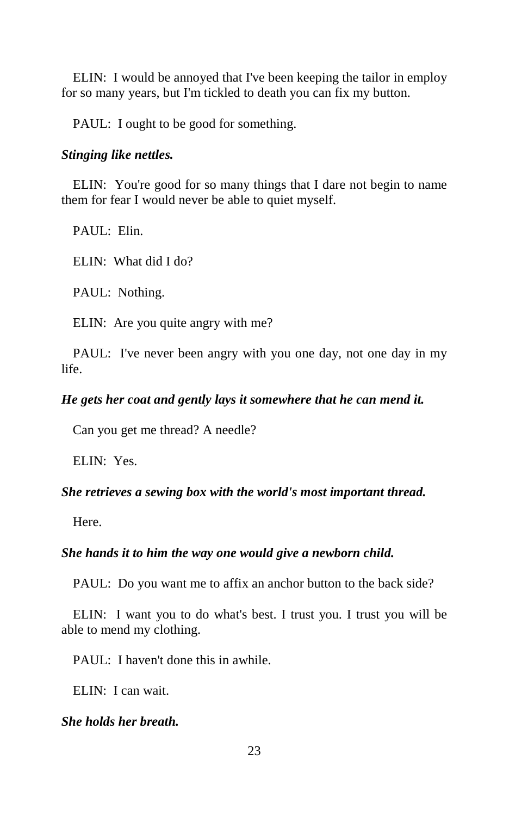ELIN: I would be annoyed that I've been keeping the tailor in employ for so many years, but I'm tickled to death you can fix my button.

PAUL: I ought to be good for something.

#### *Stinging like nettles.*

ELIN: You're good for so many things that I dare not begin to name them for fear I would never be able to quiet myself.

PAUL: Elin.

ELIN: What did I do?

PAUL: Nothing.

ELIN: Are you quite angry with me?

PAUL: I've never been angry with you one day, not one day in my life.

#### *He gets her coat and gently lays it somewhere that he can mend it.*

Can you get me thread? A needle?

ELIN: Yes.

#### *She retrieves a sewing box with the world's most important thread.*

Here.

#### *She hands it to him the way one would give a newborn child.*

PAUL: Do you want me to affix an anchor button to the back side?

ELIN: I want you to do what's best. I trust you. I trust you will be able to mend my clothing.

PAUL: I haven't done this in awhile.

ELIN: I can wait.

#### *She holds her breath.*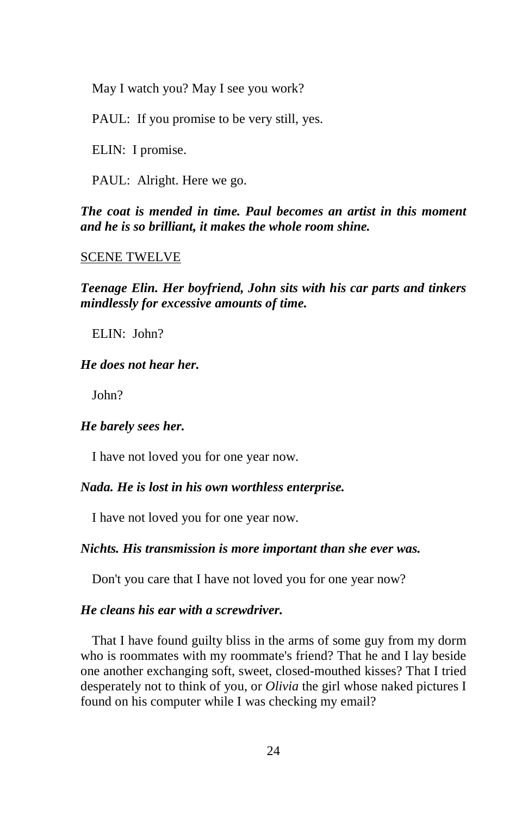May I watch you? May I see you work?

PAUL: If you promise to be very still, yes.

ELIN: I promise.

PAUL: Alright. Here we go.

*The coat is mended in time. Paul becomes an artist in this moment and he is so brilliant, it makes the whole room shine.* 

#### SCENE TWELVE

*Teenage Elin. Her boyfriend, John sits with his car parts and tinkers mindlessly for excessive amounts of time.* 

ELIN: John?

#### *He does not hear her.*

John?

# *He barely sees her.*

I have not loved you for one year now.

#### *Nada. He is lost in his own worthless enterprise.*

I have not loved you for one year now.

#### *Nichts. His transmission is more important than she ever was.*

Don't you care that I have not loved you for one year now?

#### *He cleans his ear with a screwdriver.*

That I have found guilty bliss in the arms of some guy from my dorm who is roommates with my roommate's friend? That he and I lay beside one another exchanging soft, sweet, closed-mouthed kisses? That I tried desperately not to think of you, or *Olivia* the girl whose naked pictures I found on his computer while I was checking my email?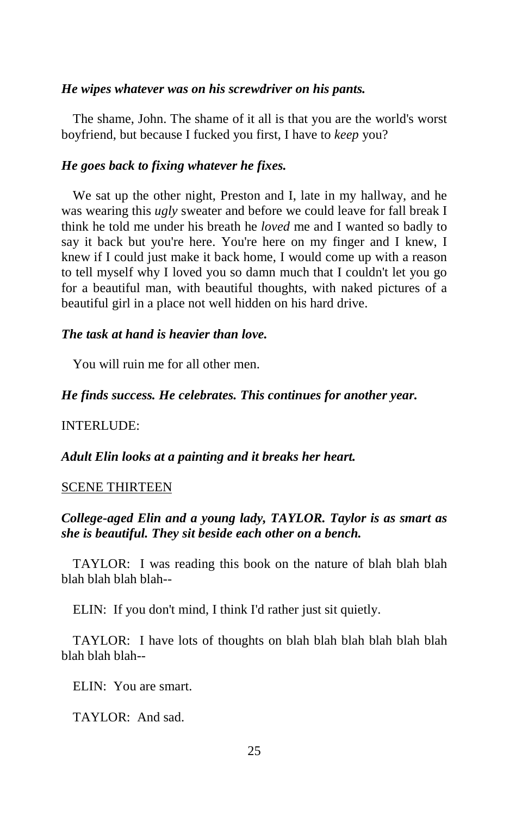#### *He wipes whatever was on his screwdriver on his pants.*

The shame, John. The shame of it all is that you are the world's worst boyfriend, but because I fucked you first, I have to *keep* you?

#### *He goes back to fixing whatever he fixes.*

We sat up the other night, Preston and I, late in my hallway, and he was wearing this *ugly* sweater and before we could leave for fall break I think he told me under his breath he *loved* me and I wanted so badly to say it back but you're here. You're here on my finger and I knew, I knew if I could just make it back home, I would come up with a reason to tell myself why I loved you so damn much that I couldn't let you go for a beautiful man, with beautiful thoughts, with naked pictures of a beautiful girl in a place not well hidden on his hard drive.

#### *The task at hand is heavier than love.*

You will ruin me for all other men.

#### *He finds success. He celebrates. This continues for another year.*

#### INTERLUDE:

#### *Adult Elin looks at a painting and it breaks her heart.*

#### SCENE THIRTEEN

# *College-aged Elin and a young lady, TAYLOR. Taylor is as smart as she is beautiful. They sit beside each other on a bench.*

TAYLOR: I was reading this book on the nature of blah blah blah blah blah blah blah--

ELIN: If you don't mind, I think I'd rather just sit quietly.

TAYLOR: I have lots of thoughts on blah blah blah blah blah blah blah blah blah--

ELIN: You are smart.

TAYLOR: And sad.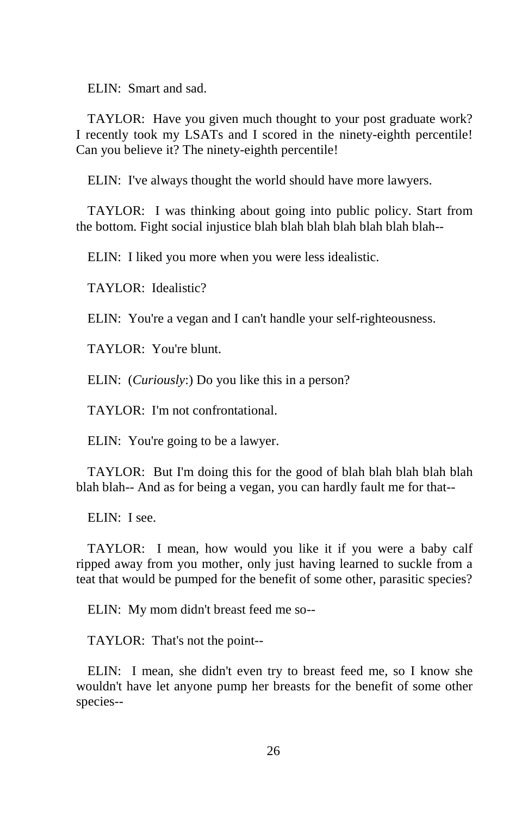ELIN: Smart and sad.

TAYLOR: Have you given much thought to your post graduate work? I recently took my LSATs and I scored in the ninety-eighth percentile! Can you believe it? The ninety-eighth percentile!

ELIN: I've always thought the world should have more lawyers.

TAYLOR: I was thinking about going into public policy. Start from the bottom. Fight social injustice blah blah blah blah blah blah blah--

ELIN: I liked you more when you were less idealistic.

TAYLOR: Idealistic?

ELIN: You're a vegan and I can't handle your self-righteousness.

TAYLOR: You're blunt.

ELIN: (*Curiously*:) Do you like this in a person?

TAYLOR: I'm not confrontational.

ELIN: You're going to be a lawyer.

TAYLOR: But I'm doing this for the good of blah blah blah blah blah blah blah-- And as for being a vegan, you can hardly fault me for that--

ELIN: I see.

TAYLOR: I mean, how would you like it if you were a baby calf ripped away from you mother, only just having learned to suckle from a teat that would be pumped for the benefit of some other, parasitic species?

ELIN: My mom didn't breast feed me so--

TAYLOR: That's not the point--

ELIN: I mean, she didn't even try to breast feed me, so I know she wouldn't have let anyone pump her breasts for the benefit of some other species--